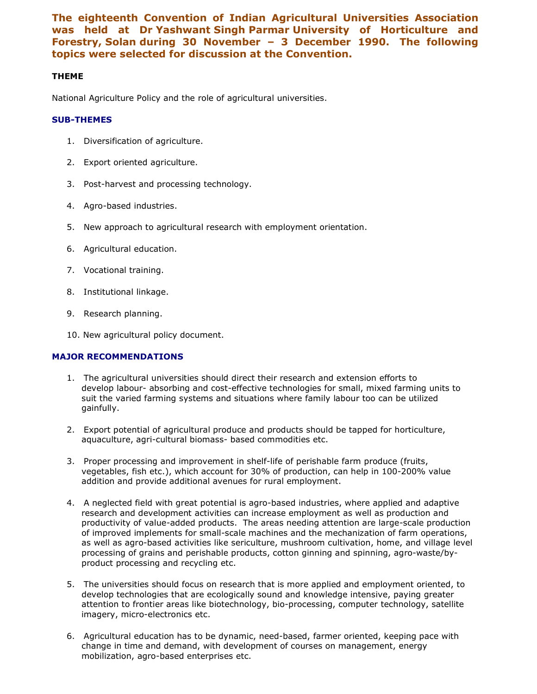The eighteenth Convention of Indian Agricultural Universities Association was held at Dr Yashwant Singh Parmar University of Horticulture and Forestry, Solan during 30 November – 3 December 1990. The following topics were selected for discussion at the Convention.

## THEME

National Agriculture Policy and the role of agricultural universities.

## SUB-THEMES

- 1. Diversification of agriculture.
- 2. Export oriented agriculture.
- 3. Post-harvest and processing technology.
- 4. Agro-based industries.
- 5. New approach to agricultural research with employment orientation.
- 6. Agricultural education.
- 7. Vocational training.
- 8. Institutional linkage.
- 9. Research planning.
- 10. New agricultural policy document.

## MAJOR RECOMMENDATIONS

- 1. The agricultural universities should direct their research and extension efforts to develop labour- absorbing and cost-effective technologies for small, mixed farming units to suit the varied farming systems and situations where family labour too can be utilized gainfully.
- 2. Export potential of agricultural produce and products should be tapped for horticulture, aquaculture, agri-cultural biomass- based commodities etc.
- 3. Proper processing and improvement in shelf-life of perishable farm produce (fruits, vegetables, fish etc.), which account for 30% of production, can help in 100-200% value addition and provide additional avenues for rural employment.
- 4. A neglected field with great potential is agro-based industries, where applied and adaptive research and development activities can increase employment as well as production and productivity of value-added products. The areas needing attention are large-scale production of improved implements for small-scale machines and the mechanization of farm operations, as well as agro-based activities like sericulture, mushroom cultivation, home, and village level processing of grains and perishable products, cotton ginning and spinning, agro-waste/byproduct processing and recycling etc.
- 5. The universities should focus on research that is more applied and employment oriented, to develop technologies that are ecologically sound and knowledge intensive, paying greater attention to frontier areas like biotechnology, bio-processing, computer technology, satellite imagery, micro-electronics etc.
- 6. Agricultural education has to be dynamic, need-based, farmer oriented, keeping pace with change in time and demand, with development of courses on management, energy mobilization, agro-based enterprises etc.